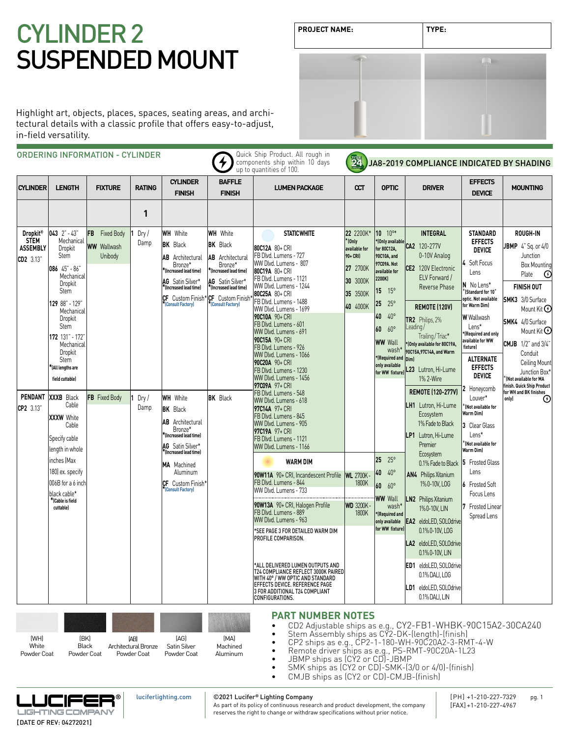# **PRODUCT NAMES: PRODUCT** SUSPENDED MOUNT

| <b>PROJECT NAME:</b> | TYPE: |
|----------------------|-------|
|                      |       |
|                      |       |
|                      |       |

Highlight art, objects, places, spaces, seating areas, and architectural details with a classic profile that offers easy-to-adjust, in-field versatility.

|                                                                                             |                                                                                                                                                                                                                                                                                                                                                                                                                                                                     | <b>ORDERING INFORMATION - CYLINDER</b>                                     |                                             |                                                                                                                                                                                                                                                                                                                                                                                                                                     |                                                                                                                                                                                                              | Quick Ship Product. All rough in<br>components ship within 10 days<br>up to quantities of 100.                                                                                                                                                                                                                                                                                                                                                                                                                                                                                                                                                                                                                                                                                                                                                                              | <b>24</b>                                                                                                                                |                                                                                                                                                                                                                                                                                                                                                                                                                                                | JA8-2019 COMPLIANCE INDICATED BY SHADING                                                                                                                                                                                                                                                                                                                                                                                                                                                                                                                                |                                                                                                                                                                                                                                                                                                                                                                                                                                                                                                                                                                 |                                                                                                                                                                                                                                                                                                                                                                                              |
|---------------------------------------------------------------------------------------------|---------------------------------------------------------------------------------------------------------------------------------------------------------------------------------------------------------------------------------------------------------------------------------------------------------------------------------------------------------------------------------------------------------------------------------------------------------------------|----------------------------------------------------------------------------|---------------------------------------------|-------------------------------------------------------------------------------------------------------------------------------------------------------------------------------------------------------------------------------------------------------------------------------------------------------------------------------------------------------------------------------------------------------------------------------------|--------------------------------------------------------------------------------------------------------------------------------------------------------------------------------------------------------------|-----------------------------------------------------------------------------------------------------------------------------------------------------------------------------------------------------------------------------------------------------------------------------------------------------------------------------------------------------------------------------------------------------------------------------------------------------------------------------------------------------------------------------------------------------------------------------------------------------------------------------------------------------------------------------------------------------------------------------------------------------------------------------------------------------------------------------------------------------------------------------|------------------------------------------------------------------------------------------------------------------------------------------|------------------------------------------------------------------------------------------------------------------------------------------------------------------------------------------------------------------------------------------------------------------------------------------------------------------------------------------------------------------------------------------------------------------------------------------------|-------------------------------------------------------------------------------------------------------------------------------------------------------------------------------------------------------------------------------------------------------------------------------------------------------------------------------------------------------------------------------------------------------------------------------------------------------------------------------------------------------------------------------------------------------------------------|-----------------------------------------------------------------------------------------------------------------------------------------------------------------------------------------------------------------------------------------------------------------------------------------------------------------------------------------------------------------------------------------------------------------------------------------------------------------------------------------------------------------------------------------------------------------|----------------------------------------------------------------------------------------------------------------------------------------------------------------------------------------------------------------------------------------------------------------------------------------------------------------------------------------------------------------------------------------------|
| <b>CYLINDER</b>                                                                             | <b>LENGTH</b>                                                                                                                                                                                                                                                                                                                                                                                                                                                       | <b>FIXTURE</b>                                                             | <b>RATING</b>                               | <b>CYLINDER</b><br><b>FINISH</b>                                                                                                                                                                                                                                                                                                                                                                                                    | <b>BAFFLE</b><br><b>FINISH</b>                                                                                                                                                                               | <b>LUMEN PACKAGE</b>                                                                                                                                                                                                                                                                                                                                                                                                                                                                                                                                                                                                                                                                                                                                                                                                                                                        | $\alpha$                                                                                                                                 | <b>OPTIC</b>                                                                                                                                                                                                                                                                                                                                                                                                                                   | <b>DRIVER</b>                                                                                                                                                                                                                                                                                                                                                                                                                                                                                                                                                           | <b>EFFECTS</b><br><b>DEVICE</b>                                                                                                                                                                                                                                                                                                                                                                                                                                                                                                                                 | <b>MOUNTING</b>                                                                                                                                                                                                                                                                                                                                                                              |
|                                                                                             |                                                                                                                                                                                                                                                                                                                                                                                                                                                                     |                                                                            | 1                                           |                                                                                                                                                                                                                                                                                                                                                                                                                                     |                                                                                                                                                                                                              |                                                                                                                                                                                                                                                                                                                                                                                                                                                                                                                                                                                                                                                                                                                                                                                                                                                                             |                                                                                                                                          |                                                                                                                                                                                                                                                                                                                                                                                                                                                |                                                                                                                                                                                                                                                                                                                                                                                                                                                                                                                                                                         |                                                                                                                                                                                                                                                                                                                                                                                                                                                                                                                                                                 |                                                                                                                                                                                                                                                                                                                                                                                              |
| Dropkit <sup>®</sup><br><b>STEM</b><br><b>ASSEMBLY</b><br>CD2 3.13"<br>PENDANT<br>CP2 3.13" | $043$ $2" - 43"$<br>Mechanical<br>Dropkit<br>Stem<br>086 45" - 86"<br>Mechanical<br>Dropkit<br>Stem<br>129 88" - 129"<br>Mechanical<br>Dropkit<br>Stem<br>172 131" - 172"<br>Mechanical<br>Dropkit<br>Stem<br><sup>f</sup> (All lengths are<br>field cuttable)<br>XXXB<br>Black<br>Cable<br><b>XXXW</b> White<br>Cable<br>Specify cable<br>length in whole<br>inches (Max<br>180) ex. specify<br>006B for a 6 inch<br>black cable*<br>*(Cable is field<br>cuttable] | FB.<br><b>Fixed Body</b><br><b>WW</b> Wallwash<br>Unibody<br>FB Fixed Body | Dry/<br>Damp<br>Dry/<br>Damp                | <b>WH</b> White<br><b>BK</b> Black<br><b>AB</b> Architectural<br>Bronze*<br>(Increased lead time)*<br>AG Satin Silver*<br>(Increased lead time)<br>CF Custom Finish<br><b>Consult Factory)</b><br><b>WH</b> White<br><b>BK</b> Black<br><b>AB</b> Architectural<br>Bronze*<br>(Increased lead time)*<br>AG Satin Silver*<br>*(Increased lead time)<br>MA Machined<br>Aluminum<br><b>CF</b> Custom Finish*<br><b>Consult Factory</b> | <b>WH</b> White<br><b>BK</b> Black<br><b>AB</b> Architectural<br>Bronze*<br>*(Increased lead time)<br>AG Satin Silver*<br>*(Increased lead time)<br>CF Custom Finish<br>(Consult Factory)<br><b>BK</b> Black | <b>STATIC WHITE</b><br>80C12A 80+ CRI<br>FB Dlvd. Lumens - 727<br>WW Dlvd. Lumens - 807<br>80C19A 80+ CRI<br>FB Dlvd. Lumens - 1121<br>WW Dlvd. Lumens - 1244<br>80C25A 80+ CRI<br>FB Dlvd. Lumens - 1488<br>WW Dlvd. Lumens - 1699<br>90C10A 90+ CRI<br>FB Dlvd. Lumens - 601<br>WW Dlvd. Lumens - 691<br>90C15A 90+ CRI<br>FB Dlvd. Lumens - 926<br>WW Dlvd. Lumens - 1066<br>90C20A 90+ CRI<br>FB Dlvd. Lumens - 1230<br>WW Dlvd. Lumens - 1456<br>97C09A 97+ CRI<br>FB Dlvd. Lumens - 548<br>WW Dlvd. Lumens - 618<br>97C14A 97+ CRI<br>FB Dlvd. Lumens - 845<br>WW Dlvd. Lumens - 905<br>97C19A 97+ CRI<br>FB Dlvd. Lumens - 1121<br>WW Dlvd. Lumens - 1166<br><b>WARM DIM</b><br>90W11A 90+ CRI, Incandescent Profile WL 2700K<br>FB Dlvd. Lumens - 844<br>WW Dlvd. Lumens - 733<br>90W13A 90+ CRI, Halogen Profile<br>FB Dlvd. Lumens - 889<br>WW Dlvd. Lumens - 963 | 22 2200K*<br>$*$ (Only<br>available for<br>90+ CRI)<br>27 2700K<br>30 3000K<br>35 3500K<br>40 4000K<br>1800K<br><b>WD 3200K</b><br>1800K | 10 10°*<br>*(Only available<br>for 80C12A,<br>90C10A, and<br>97C09A. Not<br>available for<br>2200K)<br>15 <sub>1</sub><br>$15^{\circ}$<br>25<br>$25^{\circ}$<br>$40^{\circ}$<br>40<br>$60^{\circ}$<br>60<br><b>WW Wall</b><br>wash*<br>*(Required and<br>only available<br>for WW fixture)<br>25<br>$25^{\circ}$<br>40<br>$40^{\circ}$<br>$60^{\circ}$<br>60<br><b>WW Wall</b><br>wash*<br>*(Required and<br>only available<br>for WW fixture) | <b>INTEGRAL</b><br>CA2 120-277V<br>0-10V Analog<br>CE2 120V Electronic<br>ELV Forward /<br>Reverse Phase<br>REMOTE (120V)<br>TR2 Philips, 2%<br>Leading /<br>Trailing / Triac*<br>*(Only available for 80C19A,<br>90C15A, 97C14A, and Warm<br>Dim)<br>L23 Lutron, Hi-Lume<br>1% 2-Wire<br><b>REMOTE (120-277V)</b><br>LH1 Lutron, Hi-Lume<br>Ecosystem<br>1% Fade to Black<br>LP1 Lutron, Hi-Lume<br>Premier<br>Ecosystem<br>0.1% Fade to Black<br>AN4 Philips Xitanium<br>1%0-10V, LOG<br><b>LN2</b> Philips Xitanium<br>1%0-10V, LIN<br><b>EA2</b> eldoLED, SOLOdrive | <b>STANDARD</b><br><b>EFFECTS</b><br><b>DEVICE</b><br>Soft Focus<br>Lens<br>N No Lens*<br><b>Standard for 10°</b><br>optic. Not available<br>for Warm Dim)<br><b>W</b> Wallwash<br>Lens*<br>*(Required and only<br>available for WW<br><b>fixture</b> )<br><b>ALTERNATE</b><br><b>EFFECTS</b><br><b>DEVICE</b><br>Honeycomb<br>Louver*<br>Not available for<br>Warm Dim)<br>3 Clear Glass<br>Lens*<br>$\check{}$ (Not available for<br>Warm Dim)<br><b>Frosted Glass</b><br>15.<br>Lens<br><b>6</b> Frosted Soft<br>Focus Lens<br>Frosted Linear<br>Spread Lens | ROUGH-IN<br><b>JBMP</b> $4"$ Sq. or $4/0$<br>Junction<br><b>Box Mounting</b><br>Plate<br>$_{\odot}$<br><b>FINISH OUT</b><br><b>SMK3</b> 3/0 Surface<br>Mount Kit $\Theta$<br>SMK4 4/0 Surface<br>Mount Kit $\Theta$<br><b>CMJB</b> 1/2" and 3/4"<br>Conduit<br>Ceiling Mount<br>Junction Box*<br>KNot available for MA<br>finish. Quick Ship Product<br>for WH and BK finishes<br>only)<br>⊕ |
|                                                                                             |                                                                                                                                                                                                                                                                                                                                                                                                                                                                     |                                                                            |                                             |                                                                                                                                                                                                                                                                                                                                                                                                                                     |                                                                                                                                                                                                              | *SEE PAGE 3 FOR DETAILED WARM DIM<br>PROFILE COMPARISON.<br>*ALL DELIVERED LUMEN OUTPUTS AND<br>T24 COMPLIANCE REFLECT 3000K PAIRED<br>WITH 40° / WW OPTIC AND STANDARD<br>EFFECTS DEVICE. REFERENCE PAGE<br>3 FOR ADDITIONAL T24 COMPLIANT<br>CONFIGURATIONS.                                                                                                                                                                                                                                                                                                                                                                                                                                                                                                                                                                                                              |                                                                                                                                          |                                                                                                                                                                                                                                                                                                                                                                                                                                                | 0.1% 0-10V, LOG<br>LA2 eldoLED, SOLOdrive<br>0.1% 0-10V, LIN<br><b>ED1</b> eldol FD SOLOdrive<br>0.1% DALI, LOG<br>LD1 eldoLED, SOLOdrive<br>0.1% DALI, LIN                                                                                                                                                                                                                                                                                                                                                                                                             |                                                                                                                                                                                                                                                                                                                                                                                                                                                                                                                                                                 |                                                                                                                                                                                                                                                                                                                                                                                              |
| [WH]<br>White<br>Powder Coat                                                                | (BK)<br><b>Black</b><br>Powder Coat                                                                                                                                                                                                                                                                                                                                                                                                                                 |                                                                            | (AB)<br>Architectural Bronze<br>Powder Coat | [AG]<br>Satin Silver<br>Powder Coat                                                                                                                                                                                                                                                                                                                                                                                                 | (MA)<br>Machined<br>Aluminum                                                                                                                                                                                 | <b>PART NUMBER NOTES</b><br>CD2 Adjustable ships as e.g., CY2-FB1-WHBK-90C15A2-30CA240<br>Stem Assembly ships as CY2-DK-(length)-(finish)<br>CP2 ships as e.g., CP2-1-180-WH-90C20A2-3-RMT-4-W<br>Remote driver ships as e.g., PS-RMT-90C20A-1L23                                                                                                                                                                                                                                                                                                                                                                                                                                                                                                                                                                                                                           |                                                                                                                                          |                                                                                                                                                                                                                                                                                                                                                                                                                                                |                                                                                                                                                                                                                                                                                                                                                                                                                                                                                                                                                                         |                                                                                                                                                                                                                                                                                                                                                                                                                                                                                                                                                                 |                                                                                                                                                                                                                                                                                                                                                                                              |

- 
- JBMP ships as (CY2 or CD)-JBMP<br>• SMK ships as (CY2 or CD)-SMK-(3/0 or 4/0)-(finish)
- CMJB ships as (CY2 or CD)-CMJB-(finish)



[luciferlighting.com](http://luciferlighting.com/)

### ©2021 Lucifer**®** Lighting Company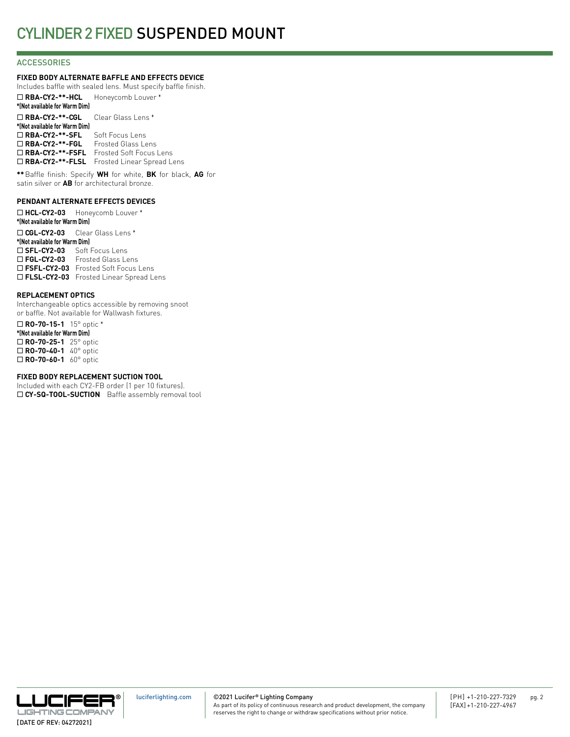### **ACCESSORIES**

### **FIXED BODY ALTERNATE BAFFLE AND EFFECTS DEVICE**

Includes baffle with sealed lens. Must specify baffle finish. ¨ **RBA-CY2-\*\*-HCL** Honeycomb Louver \* **\*(Not available for Warm Dim)** ¨ **RBA-CY2-\*\*-CGL** Clear Glass Lens \* **\*(Not available for Warm Dim)** □ RBA-CY2-\*\*-SFL Soft Focus Lens ¨ **RBA-CY2-\*\*-FGL** Frosted Glass Lens □ RBA-CY2-\*\*-FSFL Frosted Soft Focus Lens □ RBA-CY2-\*\*-FLSL Frosted Linear Spread Lens

**\*\***Baffle finish: Specify **WH** for white, **BK** for black, **AG** for satin silver or **AB** for architectural bronze.

### **PENDANT ALTERNATE EFFECTS DEVICES**

¨ **HCL-CY2-03** Honeycomb Louver \* **\*(Not available for Warm Dim)** ¨ **CGL-CY2-03** Clear Glass Lens \* **\*(Not available for Warm Dim)** □ SFL-CY2-03 Soft Focus Lens □ FGL-CY2-03 Frosted Glass Lens □ FSFL-CY2-03 Frosted Soft Focus Lens □ FLSL-CY2-03 Frosted Linear Spread Lens

### **REPLACEMENT OPTICS**

Interchangeable optics accessible by removing snoot or baffle. Not available for Wallwash fixtures.

¨ **RO-70-15-1** 15° optic \* **\*(Not available for Warm Dim)** ¨ **RO-70-25-1** 25° optic □ **RO-70-40-1** 40° optic □ **RO-70-60-1** 60° optic

### **FIXED BODY REPLACEMENT SUCTION TOOL**

Included with each CY2-FB order (1 per 10 fixtures). □ CY-SQ-TOOL-SUCTION Baffle assembly removal tool

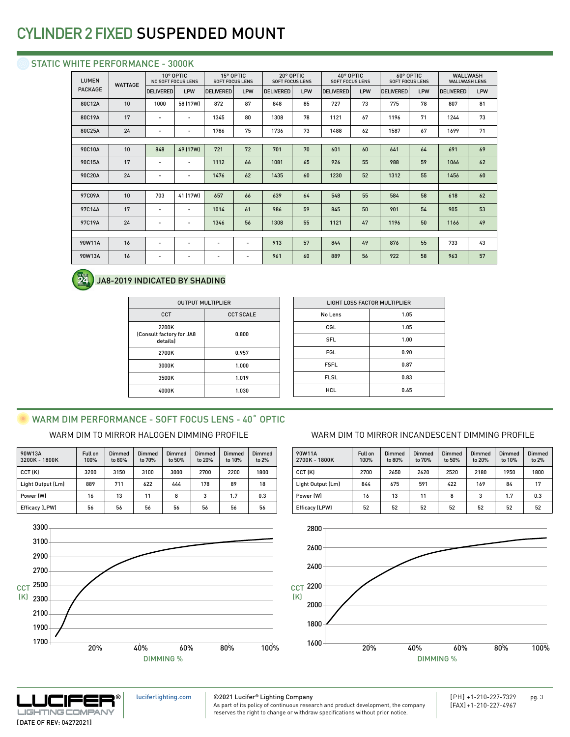### STATIC WHITE PERFORMANCE - 3000K

| <b>LUMEN</b><br><b>WATTAGE</b> |    | 10° OPTIC<br><b>NO SOFT FOCUS LENS</b> |                          | 15° OPTIC<br><b>SOFT FOCUS LENS</b> |     | 20° OPTIC<br><b>SOFT FOCUS LENS</b> |     | 40° OPTIC<br><b>SOFT FOCUS LENS</b> |     | 60° OPTIC<br><b>SOFT FOCUS LENS</b> |     | <b>WALLWASH</b><br><b>WALLWASH LENS</b> |     |
|--------------------------------|----|----------------------------------------|--------------------------|-------------------------------------|-----|-------------------------------------|-----|-------------------------------------|-----|-------------------------------------|-----|-----------------------------------------|-----|
| <b>PACKAGE</b>                 |    | <b>DELIVERED</b>                       | LPW                      | <b>DELIVERED</b>                    | LPW | <b>DELIVERED</b>                    | LPW | <b>DELIVERED</b>                    | LPW | <b>DELIVERED</b>                    | LPW | <b>DELIVERED</b>                        | LPW |
| 80C12A                         | 10 | 1000                                   | 58 (17W)                 | 872                                 | 87  | 848                                 | 85  | 727                                 | 73  | 775                                 | 78  | 807                                     | 81  |
| 80C19A                         | 17 | $\overline{\phantom{a}}$               | $\overline{\phantom{a}}$ | 1345                                | 80  | 1308                                | 78  | 1121                                | 67  | 1196                                | 71  | 1244                                    | 73  |
| 80C25A                         | 24 | $\overline{\phantom{a}}$               | $\overline{\phantom{a}}$ | 1786                                | 75  | 1736                                | 73  | 1488                                | 62  | 1587                                | 67  | 1699                                    | 71  |
|                                |    |                                        |                          |                                     |     |                                     |     |                                     |     |                                     |     |                                         |     |
| 90C10A                         | 10 | 848                                    | 49 (17W)                 | 721                                 | 72  | 701                                 | 70  | 601                                 | 60  | 641                                 | 64  | 691                                     | 69  |
| 90C15A                         | 17 | $\overline{\phantom{a}}$               | $\overline{\phantom{a}}$ | 1112                                | 66  | 1081                                | 65  | 926                                 | 55  | 988                                 | 59  | 1066                                    | 62  |
| 90C20A                         | 24 |                                        | -                        | 1476                                | 62  | 1435                                | 60  | 1230                                | 52  | 1312                                | 55  | 1456                                    | 60  |
|                                |    |                                        |                          |                                     |     |                                     |     |                                     |     |                                     |     |                                         |     |
| 97C09A                         | 10 | 703                                    | 41 (17W)                 | 657                                 | 66  | 639                                 | 64  | 548                                 | 55  | 584                                 | 58  | 618                                     | 62  |
| 97C14A                         | 17 | $\overline{\phantom{a}}$               | $\overline{\phantom{a}}$ | 1014                                | 61  | 986                                 | 59  | 845                                 | 50  | 901                                 | 54  | 905                                     | 53  |
| 97C19A                         | 24 | $\overline{\phantom{a}}$               | $\overline{\phantom{a}}$ | 1346                                | 56  | 1308                                | 55  | 1121                                | 47  | 1196                                | 50  | 1166                                    | 49  |
|                                |    |                                        |                          |                                     |     |                                     |     |                                     |     |                                     |     |                                         |     |
| 90W11A                         | 16 | $\overline{\phantom{a}}$               | $\overline{\phantom{a}}$ | $\overline{\phantom{a}}$            |     | 913                                 | 57  | 844                                 | 49  | 876                                 | 55  | 733                                     | 43  |
| 90W13A                         | 16 | $\overline{\phantom{a}}$               | $\overline{\phantom{a}}$ | $\overline{\phantom{a}}$            |     | 961                                 | 60  | 889                                 | 56  | 922                                 | 58  | 963                                     | 57  |
|                                |    |                                        |                          |                                     |     |                                     |     |                                     |     |                                     |     |                                         |     |



### JA8-2019 INDICATED BY SHADING

| <b>OUTPUT MULTIPLIER</b>                      |                  |  |  |  |  |
|-----------------------------------------------|------------------|--|--|--|--|
| CCT                                           | <b>CCT SCALE</b> |  |  |  |  |
| 2200K<br>(Consult factory for JA8<br>details) | 0.800            |  |  |  |  |
| 2700K                                         | 0.957            |  |  |  |  |
| 3000K                                         | 1.000            |  |  |  |  |
| 3500K                                         | 1.019            |  |  |  |  |
| 4000K                                         | 1.030            |  |  |  |  |

| LIGHT LOSS FACTOR MULTIPLIER |      |  |  |  |  |  |
|------------------------------|------|--|--|--|--|--|
| No Lens                      | 1.05 |  |  |  |  |  |
| CGL                          | 1.05 |  |  |  |  |  |
| <b>SFL</b>                   | 1.00 |  |  |  |  |  |
| <b>FGL</b>                   | 0.90 |  |  |  |  |  |
| <b>FSFL</b>                  | 0.87 |  |  |  |  |  |
| <b>FLSL</b>                  | 0.83 |  |  |  |  |  |
| <b>HCL</b>                   | 0.65 |  |  |  |  |  |
|                              |      |  |  |  |  |  |

## WARM DIM PERFORMANCE - SOFT FOCUS LENS - 40° OPTIC

| 90W13A<br>3200K - 1800K | Full on<br>100% | <b>Dimmed</b><br>to 80% | Dimmed<br>to 70% | Dimmed<br>to 50% | Dimmed<br>to 20% | Dimmed<br>to 10% | Dimmed<br>to 2% |
|-------------------------|-----------------|-------------------------|------------------|------------------|------------------|------------------|-----------------|
| CCT (K)                 | 3200            | 3150                    | 3100             | 3000             | 2700             | 2200             | 1800            |
| Light Output (Lm)       | 889             | 711                     | 622              | 444              | 178              | 89               | 18              |
| Power (W)               | 16              | 13                      | 11               | 8                | 3                | 1.7              | 0.3             |
| Efficacy (LPW)          | 56              | 56                      | 56               | 56               | 56               | 56               | 56              |



### WARM DIM TO MIRROR HALOGEN DIMMING PROFILE WARM DIM TO MIRROR INCANDESCENT DIMMING PROFILE

| 90W11A<br>2700K - 1800K | <b>Full on</b><br>100% | Dimmed<br>to 80% | Dimmed<br>to 70% | Dimmed<br>to 50% | Dimmed<br>to 20% | Dimmed<br>to 10% | Dimmed<br>to $2%$ |
|-------------------------|------------------------|------------------|------------------|------------------|------------------|------------------|-------------------|
| CCT (K)                 | 2700                   | 2650             | 2620             | 2520             | 2180             | 1950             | 1800              |
| Light Output (Lm)       | 844                    | 675              | 591              | 422              | 169              | 84               | 17                |
| Power (W)               | 16                     | 13               | 11               | 8                | 3                | 1.7              | 0.3               |
| <b>Efficacy (LPW)</b>   | 52                     | 52               | 52               | 52               | 52               | 52               | 52                |





[luciferlighting.com](http://luciferlighting.com/)

©2021 Lucifer**®** Lighting Company As part of its policy of continuous research and product development, the company

reserves the right to change or withdraw specifications without prior notice.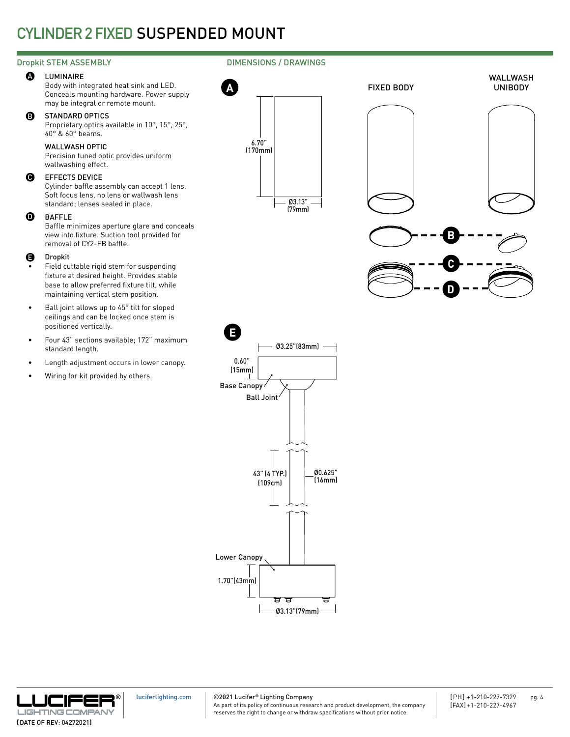### Dropkit STEM ASSEMBLY

#### **A** LUMINAIRE

Body with integrated heat sink and LED. Conceals mounting hardware. Power supply may be integral or remote mount.

#### B STANDARD OPTICS

Proprietary optics available in 10°, 15°, 25°, 40° & 60° beams.

### WALLWASH OPTIC

Precision tuned optic provides uniform wallwashing effect.

#### $\boldsymbol{\Theta}$ EFFECTS DEVICE

Cylinder baffle assembly can accept 1 lens. Soft focus lens, no lens or wallwash lens standard; lenses sealed in place.

#### BAFFLE  $\bf \bm 0$

Baffle minimizes aperture glare and conceals view into fixture. Suction tool provided for removal of CY2-FB baffle.

#### Dropkit E

- Field cuttable rigid stem for suspending fixture at desired height. Provides stable base to allow preferred fixture tilt, while maintaining vertical stem position.
- Ball joint allows up to 45° tilt for sloped ceilings and can be locked once stem is positioned vertically.
- Four 43" sections available; 172" maximum standard length.
- Length adjustment occurs in lower canopy.
- Wiring for kit provided by others.

### DIMENSIONS / DRAWINGS





**D**



**® LIGHTING COMPAN** [DATE OF REV: 04272021]

[luciferlighting.com](http://luciferlighting.com/)

©2021 Lucifer**®** Lighting Company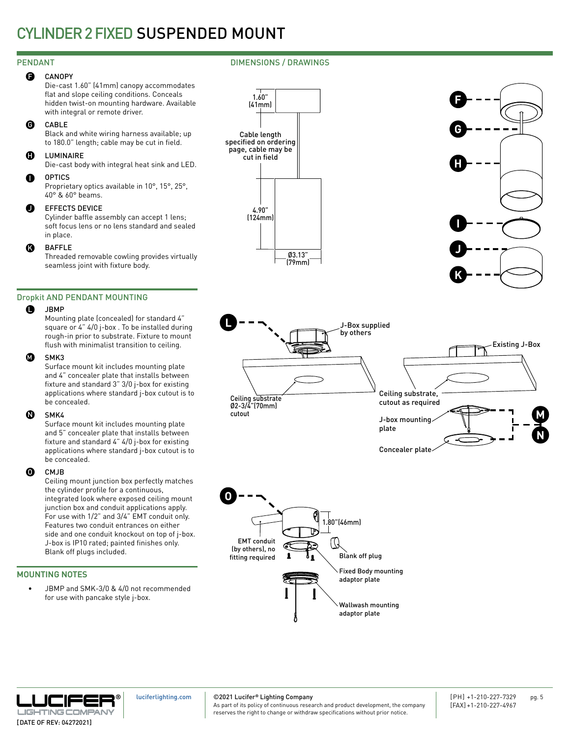#### **CANOPY**  $\mathbf \Theta$

Die-cast 1.60" (41mm) canopy accommodates flat and slope ceiling conditions. Conceals hidden twist-on mounting hardware. Available with integral or remote driver.

#### CABLE G

Black and white wiring harness available; up to 180.0" length; cable may be cut in field.

#### **LUMINAIRE** H

Die-cast body with integral heat sink and LED.

#### **OPTICS**  $\bullet$

Proprietary optics available in 10°, 15°, 25°, 40° & 60° beams.

#### EFFECTS DEVICE  $\bf o$

Cylinder baffle assembly can accept 1 lens; soft focus lens or no lens standard and sealed in place.

#### BAFFLE  $\boldsymbol{\Omega}$

Threaded removable cowling provides virtually seamless joint with fixture body.

### Dropkit AND PENDANT MOUNTING

#### **JBMP**  $\bullet$

Mounting plate (concealed) for standard 4" square or 4" 4/0 j-box . To be installed during rough-in prior to substrate. Fixture to mount flush with minimalist transition to ceiling.

#### SMK3  $\boldsymbol{\Omega}$

Surface mount kit includes mounting plate and 4" concealer plate that installs between fixture and standard 3" 3/0 j-box for existing applications where standard j-box cutout is to be concealed.

#### SMK4  $\boldsymbol{\Phi}$

Surface mount kit includes mounting plate and 5" concealer plate that installs between fixture and standard 4" 4/0 j-box for existing applications where standard j-box cutout is to be concealed.

#### CMJB O

Ceiling mount junction box perfectly matches the cylinder profile for a continuous, integrated look where exposed ceiling mount junction box and conduit applications apply. For use with 1/2" and 3/4" EMT conduit only. Features two conduit entrances on either side and one conduit knockout on top of j-box. J-box is IP10 rated; painted finishes only. Blank off plugs included.

### MOUNTING NOTES

JBMP and SMK-3/0 & 4/0 not recommended for use with pancake style j-box.









Concealer plate





[luciferlighting.com](http://luciferlighting.com/)

©2021 Lucifer**®** Lighting Company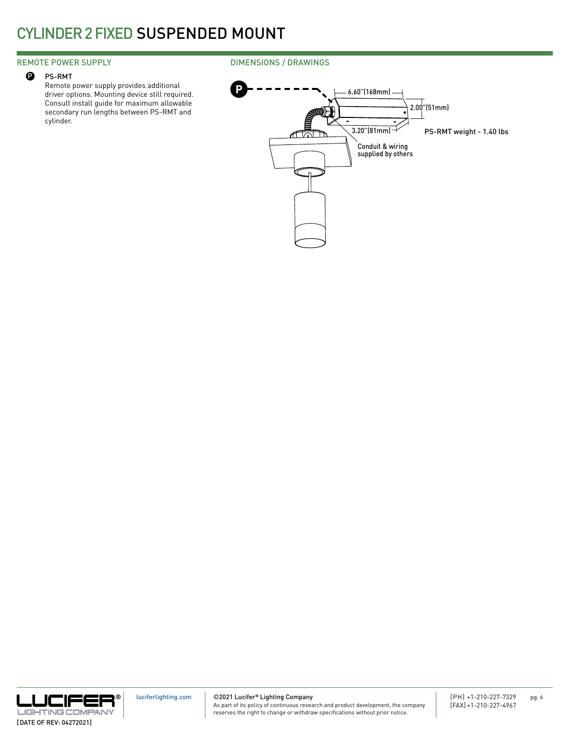### REMOTE POWER SUPPLY

#### PS-RMT  $\mathbf{\Theta}$

Remote power supply provides additional driver options. Mounting device still required. Consult install guide for maximum allowable secondary run lengths between PS-RMT and cylinder.

### DIMENSIONS / DRAWINGS





©2021 Lucifer**®** Lighting Company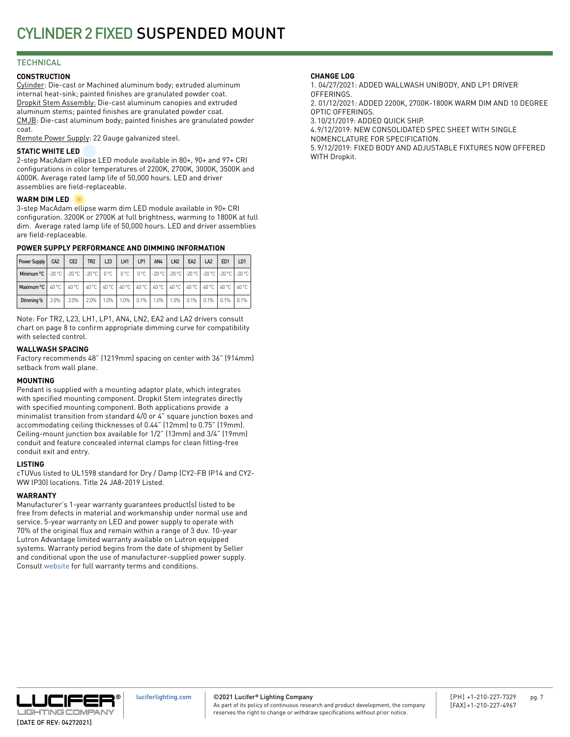### **TECHNICAL**

### **CONSTRUCTION**

Cylinder: Die-cast or Machined aluminum body; extruded aluminum internal heat-sink; painted finishes are granulated powder coat. Dropkit Stem Assembly: Die-cast aluminum canopies and extruded aluminum stems; painted finishes are granulated powder coat. CMJB: Die-cast aluminum body; painted finishes are granulated powder coat.

Remote Power Supply: 22 Gauge galvanized steel.

### **STATIC WHITE LED**

2-step MacAdam ellipse LED module available in 80+, 90+ and 97+ CRI configurations in color temperatures of 2200K, 2700K, 3000K, 3500K and 4000K. Average rated lamp life of 50,000 hours. LED and driver assemblies are field-replaceable.

### **WARM DIM LED**

3-step MacAdam ellipse warm dim LED module available in 90+ CRI configuration. 3200K or 2700K at full brightness, warming to 1800K at full dim. Average rated lamp life of 50,000 hours. LED and driver assemblies are field-replaceable.

### **POWER SUPPLY PERFORMANCE AND DIMMING INFORMATION**

| Power Supply                                                                                                     | CA <sub>2</sub> | CE <sub>2</sub> | TR <sub>2</sub>                                                         | L23     | LH1  | LP1       | AN4  | LN <sub>2</sub> | EA <sub>2</sub>       | LA <sub>2</sub> | ED <sub>1</sub> | LD <sub>1</sub> |
|------------------------------------------------------------------------------------------------------------------|-----------------|-----------------|-------------------------------------------------------------------------|---------|------|-----------|------|-----------------|-----------------------|-----------------|-----------------|-----------------|
| Minimum °C   -20 °C   -20 °C   -20 °C   0 °C   0 °C   0 °C   -20 °C   -20 °C   -20 °C   -20 °C   -20 °C   -20 °C |                 |                 |                                                                         |         |      |           |      |                 |                       |                 |                 |                 |
| Maximum $\degree$ C   40 $\degree$ C                                                                             |                 | 40 °C           | 1 40 °C   40 °C   40 °C   40 °C   40 °C   40 °C   40 °C   40 °C   40 °C |         |      |           |      |                 |                       |                 |                 | 40 °C           |
| Dimming %                                                                                                        | 2.0%            | 2.0%            | $2.0\%$                                                                 | $1.0\%$ | 1.0% | $ 0.1\% $ | 1.0% |                 | $1.0\%$   0.1%   0.1% |                 | $0.1\%$         | $0.1\%$         |

Note: For TR2, L23, LH1, LP1, AN4, LN2, EA2 and LA2 drivers consult chart on page 8 to confirm appropriate dimming curve for compatibility with selected control.

### **WALLWASH SPACING**

Factory recommends 48" (1219mm) spacing on center with 36" (914mm) setback from wall plane.

### **MOUNTING**

Pendant is supplied with a mounting adaptor plate, which integrates with specified mounting component. Dropkit Stem integrates directly with specified mounting component. Both applications provide a minimalist transition from standard 4/0 or 4" square junction boxes and accommodating ceiling thicknesses of 0.44" (12mm) to 0.75" (19mm). Ceiling-mount junction box available for 1/2" (13mm) and 3/4" (19mm) conduit and feature concealed internal clamps for clean fitting-free conduit exit and entry.

### **LISTING**

cTUVus listed to UL1598 standard for Dry / Damp (CY2-FB IP14 and CY2- WW IP30) locations. Title 24 JA8-2019 Listed.

### **WARRANTY**

Manufacturer's 1-year warranty guarantees product(s) listed to be free from defects in material and workmanship under normal use and service. 5-year warranty on LED and power supply to operate with 70% of the original flux and remain within a range of 3 duv. 10-year Lutron Advantage limited warranty available on Lutron equipped systems. Warranty period begins from the date of shipment by Seller and conditional upon the use of manufacturer-supplied power supply. Consult [website](http://luciferlighting.com/Resources/Full-Warranty) for full warranty terms and conditions.

### **CHANGE LOG**

1. 04/27/2021: ADDED WALLWASH UNIBODY, AND LP1 DRIVER **OFFERINGS** 2. 01/12/2021: ADDED 2200K, 2700K-1800K WARM DIM AND 10 DEGREE

OPTIC OFFERINGS. 3.10/21/2019: ADDED QUICK SHIP.

4.9/12/2019: NEW CONSOLIDATED SPEC SHEET WITH SINGLE

NOMENCLATURE FOR SPECIFICATION.

5.9/12/2019: FIXED BODY AND ADJUSTABLE FIXTURES NOW OFFERED WITH Dropkit.



©2021 Lucifer**®** Lighting Company